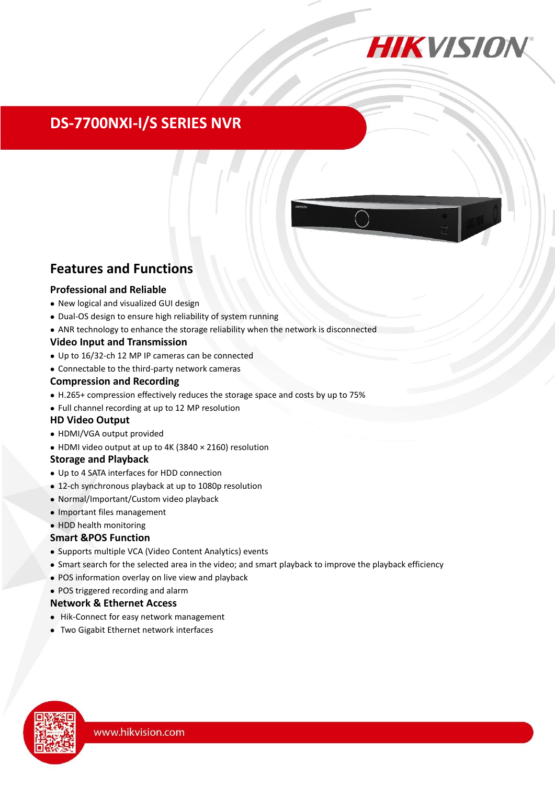

# **DS-7700NXI-I/S SERIES NVR**

# **Features and Functions**

## **Professional and Reliable**

- New logical and visualized GUI design
- Dual-OS design to ensure high reliability of system running
- ANR technology to enhance the storage reliability when the network is disconnected

## **Video Input and Transmission**

- Up to 16/32-ch 12 MP IP cameras can be connected
- Connectable to the third-party network cameras

#### **Compression and Recording**

- H.265+ compression effectively reduces the storage space and costs by up to 75%
- Full channel recording at up to 12 MP resolution

## **HD Video Output**

- HDMI/VGA output provided
- HDMI video output at up to 4K (3840 × 2160) resolution

## **Storage and Playback**

- Up to 4 SATA interfaces for HDD connection
- 12-ch synchronous playback at up to 1080p resolution
- Normal/Important/Custom video playback
- Important files management
- HDD health monitoring

## **Smart &POS Function**

- Supports multiple VCA (Video Content Analytics) events
- Smart search for the selected area in the video; and smart playback to improve the playback efficiency
- POS information overlay on live view and playback
- POS triggered recording and alarm

## **Network & Ethernet Access**

- Hik-Connect for easy network management
- Two Gigabit Ethernet network interfaces

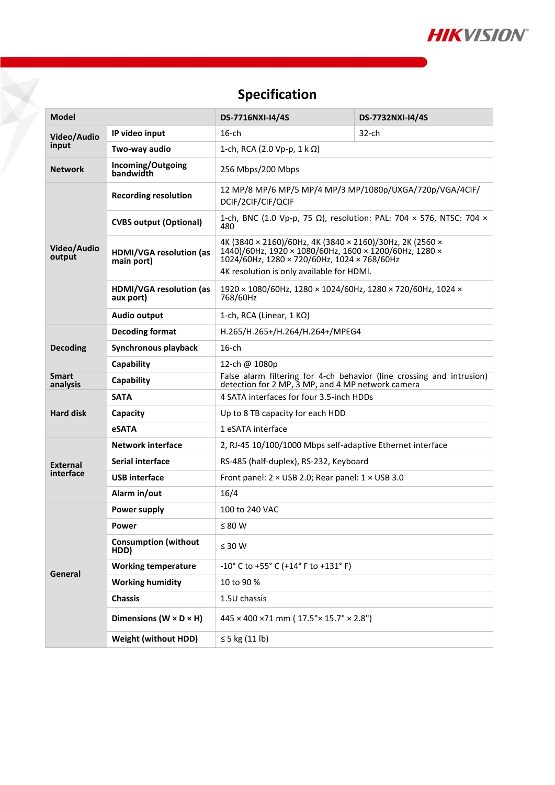

# **Specification**

¥

| Model                    |                                              | DS-7716NXI-I4/4S                                                                                                                                                                                                                    | DS-7732NXI-I4/4S |  |  |
|--------------------------|----------------------------------------------|-------------------------------------------------------------------------------------------------------------------------------------------------------------------------------------------------------------------------------------|------------------|--|--|
| Video/Audio<br>input     | IP video input                               | $16$ -ch                                                                                                                                                                                                                            | $32$ -ch         |  |  |
|                          | Two-way audio                                | 1-ch, RCA (2.0 Vp-p, 1 k Ω)                                                                                                                                                                                                         |                  |  |  |
| <b>Network</b>           | Incoming/Outgoing<br>bandwidth               | 256 Mbps/200 Mbps                                                                                                                                                                                                                   |                  |  |  |
| Video/Audio<br>output    | <b>Recording resolution</b>                  | 12 MP/8 MP/6 MP/5 MP/4 MP/3 MP/1080p/UXGA/720p/VGA/4CIF/<br>DCIF/2CIF/CIF/QCIF                                                                                                                                                      |                  |  |  |
|                          | <b>CVBS output (Optional)</b>                | 1-ch, BNC (1.0 Vp-p, 75 Ω), resolution: PAL: 704 × 576, NTSC: 704 ×<br>480                                                                                                                                                          |                  |  |  |
|                          | <b>HDMI/VGA resolution (as</b><br>main port) | 4K (3840 × 2160)/60Hz, 4K (3840 × 2160)/30Hz, 2K (2560 ×<br>$1440$ /60Hz, 1920 × 1080/60Hz, 1600 × 1200/60Hz, 1280 ×<br>$1024/60$ Hz, $1280 \times 720/60$ Hz, $1024 \times 768/60$ Hz<br>4K resolution is only available for HDMI. |                  |  |  |
|                          | HDMI/VGA resolution (as<br>aux port)         | 1920 × 1080/60Hz, 1280 × 1024/60Hz, 1280 × 720/60Hz, 1024 ×<br>768/60Hz                                                                                                                                                             |                  |  |  |
|                          | Audio output                                 | 1-ch, RCA (Linear, $1 K\Omega$ )                                                                                                                                                                                                    |                  |  |  |
| <b>Decoding</b>          | <b>Decoding format</b>                       | H.265/H.265+/H.264/H.264+/MPEG4                                                                                                                                                                                                     |                  |  |  |
|                          | Synchronous playback                         | $16$ -ch                                                                                                                                                                                                                            |                  |  |  |
|                          | Capability                                   | 12-ch @ 1080p                                                                                                                                                                                                                       |                  |  |  |
| <b>Smart</b><br>analysis | Capability                                   | False alarm filtering for 4-ch behavior (line crossing and intrusion)<br>detection for 2 MP, 3 MP, and 4 MP network camera                                                                                                          |                  |  |  |
| <b>Hard disk</b>         | <b>SATA</b>                                  | 4 SATA interfaces for four 3.5-inch HDDs                                                                                                                                                                                            |                  |  |  |
|                          | Capacity                                     | Up to 8 TB capacity for each HDD                                                                                                                                                                                                    |                  |  |  |
|                          | <b>eSATA</b>                                 | 1 eSATA interface                                                                                                                                                                                                                   |                  |  |  |
| External<br>interface    | <b>Network interface</b>                     | 2, RJ-45 10/100/1000 Mbps self-adaptive Ethernet interface                                                                                                                                                                          |                  |  |  |
|                          | <b>Serial interface</b>                      | RS-485 (half-duplex), RS-232, Keyboard                                                                                                                                                                                              |                  |  |  |
|                          | <b>USB</b> interface                         | Front panel: $2 \times$ USB 2.0; Rear panel: $1 \times$ USB 3.0                                                                                                                                                                     |                  |  |  |
|                          | Alarm in/out                                 | 16/4                                                                                                                                                                                                                                |                  |  |  |
| General                  | Power supply                                 | 100 to 240 VAC                                                                                                                                                                                                                      |                  |  |  |
|                          | Power                                        | $\leq 80$ W                                                                                                                                                                                                                         |                  |  |  |
|                          | <b>Consumption (without</b><br>HDD)          | $\leq 30$ W                                                                                                                                                                                                                         |                  |  |  |
|                          | <b>Working temperature</b>                   | $-10^{\circ}$ C to $+55^{\circ}$ C ( $+14^{\circ}$ F to $+131^{\circ}$ F)                                                                                                                                                           |                  |  |  |
|                          | <b>Working humidity</b>                      | 10 to 90 %                                                                                                                                                                                                                          |                  |  |  |
|                          | <b>Chassis</b>                               | 1.5U chassis                                                                                                                                                                                                                        |                  |  |  |
|                          | Dimensions ( $W \times D \times H$ )         | 445 × 400 ×71 mm (17.5"× 15.7" × 2.8")                                                                                                                                                                                              |                  |  |  |
|                          | <b>Weight (without HDD)</b>                  | $\leq$ 5 kg (11 lb)                                                                                                                                                                                                                 |                  |  |  |